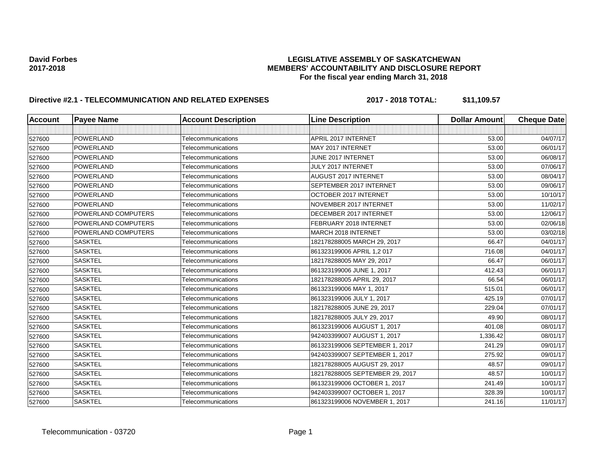## **David Forbes LEGISLATIVE ASSEMBLY OF SASKATCHEWAN 2017-2018 MEMBERS' ACCOUNTABILITY AND DISCLOSURE REPORT For the fiscal year ending March 31, 2018**

# **Directive #2.1 - TELECOMMUNICATION AND RELATED EXPENSES 2017 - 2018 TOTAL: \$11,109.57**

| Account | <b>Payee Name</b>   | <b>Account Description</b> | <b>Line Description</b>         | <b>Dollar Amount</b> | <b>Cheque Date</b> |
|---------|---------------------|----------------------------|---------------------------------|----------------------|--------------------|
|         |                     |                            |                                 |                      |                    |
| 527600  | <b>POWERLAND</b>    | Telecommunications         | APRIL 2017 INTERNET             | 53.00                | 04/07/17           |
| 527600  | <b>POWERLAND</b>    | Telecommunications         | MAY 2017 INTERNET               | 53.00                | 06/01/17           |
| 527600  | <b>POWERLAND</b>    | Telecommunications         | JUNE 2017 INTERNET              | 53.00                | 06/08/17           |
| 527600  | <b>POWERLAND</b>    | Telecommunications         | JULY 2017 INTERNET              | 53.00                | 07/06/17           |
| 527600  | <b>POWERLAND</b>    | Telecommunications         | AUGUST 2017 INTERNET            | 53.00                | 08/04/17           |
| 527600  | POWERLAND           | Telecommunications         | SEPTEMBER 2017 INTERNET         | 53.00                | 09/06/17           |
| 527600  | <b>POWERLAND</b>    | Telecommunications         | OCTOBER 2017 INTERNET           | 53.00                | 10/10/17           |
| 527600  | <b>POWERLAND</b>    | Telecommunications         | NOVEMBER 2017 INTERNET          | 53.00                | 11/02/17           |
| 527600  | POWERLAND COMPUTERS | Telecommunications         | DECEMBER 2017 INTERNET          | 53.00                | 12/06/17           |
| 527600  | POWERLAND COMPUTERS | Telecommunications         | FEBRUARY 2018 INTERNET          | 53.00                | 02/06/18           |
| 527600  | POWERLAND COMPUTERS | Telecommunications         | <b>MARCH 2018 INTERNET</b>      | 53.00                | 03/02/18           |
| 527600  | <b>SASKTEL</b>      | Telecommunications         | 182178288005 MARCH 29, 2017     | 66.47                | 04/01/17           |
| 527600  | <b>SASKTEL</b>      | Telecommunications         | 861323199006 APRIL 1,2 017      | 716.08               | 04/01/17           |
| 527600  | <b>SASKTEL</b>      | Telecommunications         | 182178288005 MAY 29, 2017       | 66.47                | 06/01/17           |
| 527600  | <b>SASKTEL</b>      | Telecommunications         | 861323199006 JUNE 1, 2017       | 412.43               | 06/01/17           |
| 527600  | <b>SASKTEL</b>      | Telecommunications         | 182178288005 APRIL 29, 2017     | 66.54                | 06/01/17           |
| 527600  | <b>SASKTEL</b>      | Telecommunications         | 861323199006 MAY 1, 2017        | 515.01               | 06/01/17           |
| 527600  | <b>SASKTEL</b>      | Telecommunications         | 861323199006 JULY 1, 2017       | 425.19               | 07/01/17           |
| 527600  | <b>SASKTEL</b>      | Telecommunications         | 182178288005 JUNE 29, 2017      | 229.04               | 07/01/17           |
| 527600  | <b>SASKTEL</b>      | Telecommunications         | 182178288005 JULY 29, 2017      | 49.90                | 08/01/17           |
| 527600  | <b>SASKTEL</b>      | Telecommunications         | 861323199006 AUGUST 1, 2017     | 401.08               | 08/01/17           |
| 527600  | <b>SASKTEL</b>      | Telecommunications         | 942403399007 AUGUST 1, 2017     | 1,336.42             | 08/01/17           |
| 527600  | <b>SASKTEL</b>      | Telecommunications         | 861323199006 SEPTEMBER 1, 2017  | 241.29               | 09/01/17           |
| 527600  | <b>SASKTEL</b>      | <b>Telecommunications</b>  | 942403399007 SEPTEMBER 1, 2017  | 275.92               | 09/01/17           |
| 527600  | <b>SASKTEL</b>      | Telecommunications         | 182178288005 AUGUST 29, 2017    | 48.57                | 09/01/17           |
| 527600  | <b>SASKTEL</b>      | Telecommunications         | 182178288005 SEPTEMBER 29, 2017 | 48.57                | 10/01/17           |
| 527600  | <b>SASKTEL</b>      | Telecommunications         | 861323199006 OCTOBER 1, 2017    | 241.49               | 10/01/17           |
| 527600  | <b>SASKTEL</b>      | Telecommunications         | 942403399007 OCTOBER 1, 2017    | 328.39               | 10/01/17           |
| 527600  | <b>SASKTEL</b>      | Telecommunications         | 861323199006 NOVEMBER 1, 2017   | 241.16               | 11/01/17           |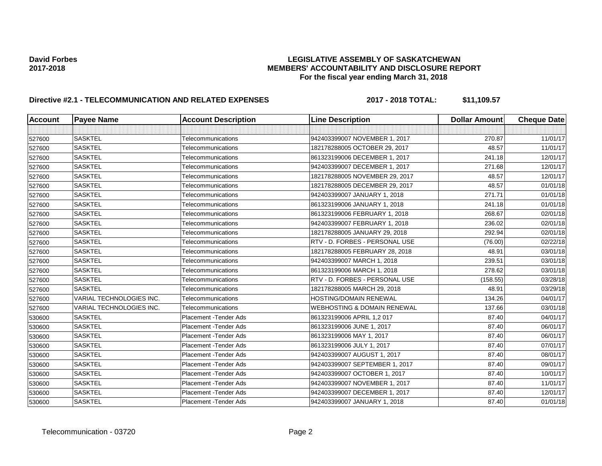## **David Forbes LEGISLATIVE ASSEMBLY OF SASKATCHEWAN 2017-2018 MEMBERS' ACCOUNTABILITY AND DISCLOSURE REPORT For the fiscal year ending March 31, 2018**

# **Directive #2.1 - TELECOMMUNICATION AND RELATED EXPENSES 2017 - 2018 TOTAL: \$11,109.57**

| <b>Account</b> | <b>Payee Name</b>        | <b>Account Description</b> | <b>Line Description</b>                | <b>Dollar Amount</b> | <b>Cheque Date</b> |
|----------------|--------------------------|----------------------------|----------------------------------------|----------------------|--------------------|
|                |                          |                            |                                        |                      |                    |
| 527600         | <b>SASKTEL</b>           | Telecommunications         | 942403399007 NOVEMBER 1, 2017          | 270.87               | 11/01/17           |
| 527600         | <b>SASKTEL</b>           | Telecommunications         | 182178288005 OCTOBER 29, 2017          | 48.57                | 11/01/17           |
| 527600         | <b>SASKTEL</b>           | Telecommunications         | 861323199006 DECEMBER 1, 2017          | 241.18               | 12/01/17           |
| 527600         | <b>SASKTEL</b>           | Telecommunications         | 942403399007 DECEMBER 1, 2017          | 271.68               | 12/01/17           |
| 527600         | <b>SASKTEL</b>           | Telecommunications         | 182178288005 NOVEMBER 29, 2017         | 48.57                | 12/01/17           |
| 527600         | <b>SASKTEL</b>           | Telecommunications         | 182178288005 DECEMBER 29, 2017         | 48.57                | 01/01/18           |
| 527600         | <b>SASKTEL</b>           | Telecommunications         | 942403399007 JANUARY 1, 2018           | 271.71               | 01/01/18           |
| 527600         | <b>SASKTEL</b>           | Telecommunications         | 861323199006 JANUARY 1, 2018           | 241.18               | 01/01/18           |
| 527600         | <b>SASKTEL</b>           | Telecommunications         | 861323199006 FEBRUARY 1, 2018          | 268.67               | 02/01/18           |
| 527600         | <b>SASKTEL</b>           | Telecommunications         | 942403399007 FEBRUARY 1, 2018          | 236.02               | 02/01/18           |
| 527600         | <b>SASKTEL</b>           | Telecommunications         | 182178288005 JANUARY 29, 2018          | 292.94               | 02/01/18           |
| 527600         | <b>SASKTEL</b>           | Telecommunications         | RTV - D. FORBES - PERSONAL USE         | (76.00)              | 02/22/18           |
| 527600         | <b>SASKTEL</b>           | Telecommunications         | 182178288005 FEBRUARY 28, 2018         | 48.91                | 03/01/18           |
| 527600         | <b>SASKTEL</b>           | Telecommunications         | 942403399007 MARCH 1, 2018             | 239.51               | 03/01/18           |
| 527600         | <b>SASKTEL</b>           | Telecommunications         | 861323199006 MARCH 1, 2018             | 278.62               | 03/01/18           |
| 527600         | <b>SASKTEL</b>           | Telecommunications         | RTV - D. FORBES - PERSONAL USE         | (158.55)             | 03/28/18           |
| 527600         | <b>SASKTEL</b>           | Telecommunications         | 182178288005 MARCH 29, 2018            | 48.91                | 03/29/18           |
| 527600         | VARIAL TECHNOLOGIES INC. | Telecommunications         | HOSTING/DOMAIN RENEWAL                 | 134.26               | 04/01/17           |
| 527600         | VARIAL TECHNOLOGIES INC. | Telecommunications         | <b>WEBHOSTING &amp; DOMAIN RENEWAL</b> | 137.66               | 03/01/18           |
| 530600         | <b>SASKTEL</b>           | Placement - Tender Ads     | 861323199006 APRIL 1,2 017             | 87.40                | 04/01/17           |
| 530600         | <b>SASKTEL</b>           | Placement - Tender Ads     | 861323199006 JUNE 1, 2017              | 87.40                | 06/01/17           |
| 530600         | <b>SASKTEL</b>           | Placement - Tender Ads     | 861323199006 MAY 1, 2017               | 87.40                | 06/01/17           |
| 530600         | <b>SASKTEL</b>           | Placement - Tender Ads     | 861323199006 JULY 1, 2017              | 87.40                | 07/01/17           |
| 530600         | <b>SASKTEL</b>           | Placement - Tender Ads     | 942403399007 AUGUST 1, 2017            | 87.40                | 08/01/17           |
| 530600         | <b>SASKTEL</b>           | Placement - Tender Ads     | 942403399007 SEPTEMBER 1, 2017         | 87.40                | 09/01/17           |
| 530600         | <b>SASKTEL</b>           | Placement - Tender Ads     | 942403399007 OCTOBER 1, 2017           | 87.40                | 10/01/17           |
| 530600         | <b>SASKTEL</b>           | Placement - Tender Ads     | 942403399007 NOVEMBER 1, 2017          | 87.40                | 11/01/17           |
| 530600         | <b>SASKTEL</b>           | Placement - Tender Ads     | 942403399007 DECEMBER 1, 2017          | 87.40                | 12/01/17           |
| 530600         | <b>SASKTEL</b>           | Placement - Tender Ads     | 942403399007 JANUARY 1, 2018           | 87.40                | 01/01/18           |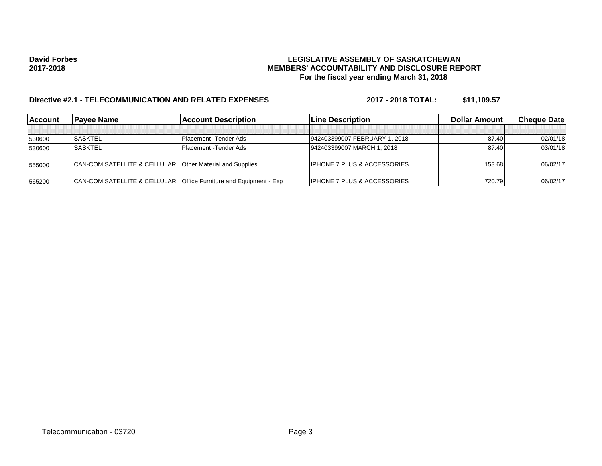## **David Forbes LEGISLATIVE ASSEMBLY OF SASKATCHEWAN 2017-2018 MEMBERS' ACCOUNTABILITY AND DISCLOSURE REPORT For the fiscal year ending March 31, 2018**

# **Directive #2.1 - TELECOMMUNICATION AND RELATED EXPENSES 2017 - 2018 TOTAL: \$11,109.57**

| <b>IAccount</b> | <b>Pavee Name</b>                                                   | <b>IAccount Description</b> | <b>ILine Description</b>               | Dollar Amount | <b>Cheque Datel</b> |
|-----------------|---------------------------------------------------------------------|-----------------------------|----------------------------------------|---------------|---------------------|
|                 |                                                                     |                             |                                        |               |                     |
| 530600          | <b>SASKTEL</b>                                                      | Placement - Tender Ads      | 942403399007 FEBRUARY 1, 2018          | 87.40         | 02/01/18            |
| 530600          | <b>SASKTEL</b>                                                      | Placement - Tender Ads      | 942403399007 MARCH 1, 2018             | 87.40         | 03/01/18            |
| 555000          | CAN-COM SATELLITE & CELLULAR   Other Material and Supplies          |                             | <b>IPHONE 7 PLUS &amp; ACCESSORIES</b> | 153.68        | 06/02/17            |
| 565200          | CAN-COM SATELLITE & CELLULAR   Office Furniture and Equipment - Exp |                             | <b>IPHONE 7 PLUS &amp; ACCESSORIES</b> | 720.79        | 06/02/17            |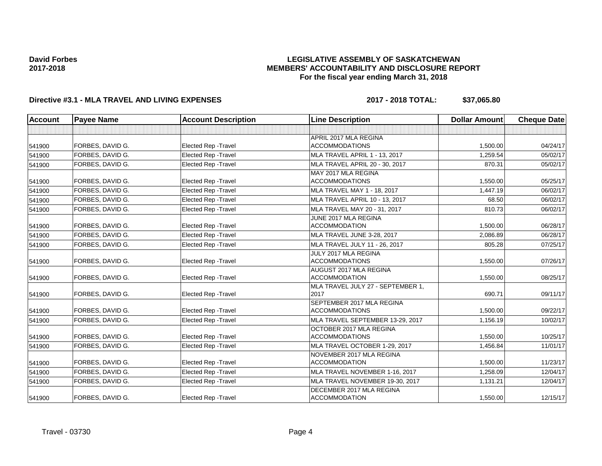## **LEGISLATIVE ASSEMBLY OF SASKATCHEWAN MEMBERS' ACCOUNTABILITY AND DISCLOSURE REPORT For the fiscal year ending March 31, 2018**

## **Directive #3.1 - MLA TRAVEL AND LIVING EXPENSES 2017 - 2018 TOTAL: \$37,065.80**

| <b>Account</b> | <b>Payee Name</b> | <b>Account Description</b>  | <b>Line Description</b>                            | <b>Dollar Amount</b> | <b>Cheque Date</b> |
|----------------|-------------------|-----------------------------|----------------------------------------------------|----------------------|--------------------|
|                |                   |                             |                                                    |                      |                    |
|                |                   |                             | APRIL 2017 MLA REGINA                              |                      |                    |
| 541900         | FORBES, DAVID G.  | <b>Elected Rep - Travel</b> | <b>ACCOMMODATIONS</b>                              | 1,500.00             | 04/24/17           |
| 541900         | FORBES, DAVID G.  | <b>Elected Rep - Travel</b> | <b>MLA TRAVEL APRIL 1 - 13, 2017</b>               | 1,259.54             | 05/02/17           |
| 541900         | FORBES, DAVID G.  | <b>Elected Rep - Travel</b> | MLA TRAVEL APRIL 20 - 30, 2017                     | 870.31               | 05/02/17           |
|                |                   |                             | MAY 2017 MLA REGINA                                |                      |                    |
| 541900         | FORBES, DAVID G.  | <b>Elected Rep - Travel</b> | <b>ACCOMMODATIONS</b>                              | 1,550.00             | 05/25/17           |
| 541900         | FORBES, DAVID G.  | <b>Elected Rep - Travel</b> | MLA TRAVEL MAY 1 - 18, 2017                        | 1,447.19             | 06/02/17           |
| 541900         | FORBES, DAVID G.  | <b>Elected Rep - Travel</b> | MLA TRAVEL APRIL 10 - 13, 2017                     | 68.50                | 06/02/17           |
| 541900         | FORBES, DAVID G.  | <b>Elected Rep - Travel</b> | MLA TRAVEL MAY 20 - 31, 2017                       | 810.73               | 06/02/17           |
|                |                   |                             | JUNE 2017 MLA REGINA                               |                      |                    |
| 541900         | FORBES, DAVID G.  | <b>Elected Rep - Travel</b> | <b>ACCOMMODATION</b>                               | 1.500.00             | 06/28/17           |
| 541900         | FORBES. DAVID G.  | <b>Elected Rep - Travel</b> | MLA TRAVEL JUNE 3-28, 2017                         | 2.086.89             | 06/28/17           |
| 541900         | FORBES, DAVID G.  | <b>Elected Rep - Travel</b> | MLA TRAVEL JULY 11 - 26, 2017                      | 805.28               | 07/25/17           |
|                |                   |                             | JULY 2017 MLA REGINA                               |                      |                    |
| 541900         | FORBES, DAVID G.  | <b>Elected Rep - Travel</b> | <b>ACCOMMODATIONS</b>                              | 1,550.00             | 07/26/17           |
|                |                   |                             | AUGUST 2017 MLA REGINA                             |                      |                    |
| 541900         | FORBES, DAVID G.  | <b>Elected Rep - Travel</b> | <b>ACCOMMODATION</b>                               | 1,550.00             | 08/25/17           |
|                |                   |                             | MLA TRAVEL JULY 27 - SEPTEMBER 1,                  |                      |                    |
| 541900         | FORBES, DAVID G.  | <b>Elected Rep - Travel</b> | 2017                                               | 690.71               | 09/11/17           |
|                | FORBES, DAVID G.  | <b>Elected Rep - Travel</b> | SEPTEMBER 2017 MLA REGINA<br><b>ACCOMMODATIONS</b> | 1,500.00             | 09/22/17           |
| 541900         |                   |                             |                                                    |                      |                    |
| 541900         | FORBES, DAVID G.  | Elected Rep - Travel        | MLA TRAVEL SEPTEMBER 13-29, 2017                   | 1,156.19             | 10/02/17           |
| 541900         | FORBES, DAVID G.  | <b>Elected Rep - Travel</b> | OCTOBER 2017 MLA REGINA<br><b>ACCOMMODATIONS</b>   | 1,550.00             | 10/25/17           |
|                | FORBES, DAVID G.  | <b>Elected Rep - Travel</b> | MLA TRAVEL OCTOBER 1-29, 2017                      | 1,456.84             | 11/01/17           |
| 541900         |                   |                             | NOVEMBER 2017 MLA REGINA                           |                      |                    |
| 541900         | FORBES. DAVID G.  | <b>Elected Rep - Travel</b> | <b>ACCOMMODATION</b>                               | 1.500.00             | 11/23/17           |
| 541900         | FORBES, DAVID G.  | <b>Elected Rep - Travel</b> | MLA TRAVEL NOVEMBER 1-16, 2017                     | 1,258.09             | 12/04/17           |
| 541900         | FORBES, DAVID G.  | Elected Rep - Travel        | MLA TRAVEL NOVEMBER 19-30, 2017                    | 1,131.21             | 12/04/17           |
|                |                   |                             | DECEMBER 2017 MLA REGINA                           |                      |                    |
| 541900         | FORBES, DAVID G.  | <b>Elected Rep - Travel</b> | <b>ACCOMMODATION</b>                               | 1,550.00             | 12/15/17           |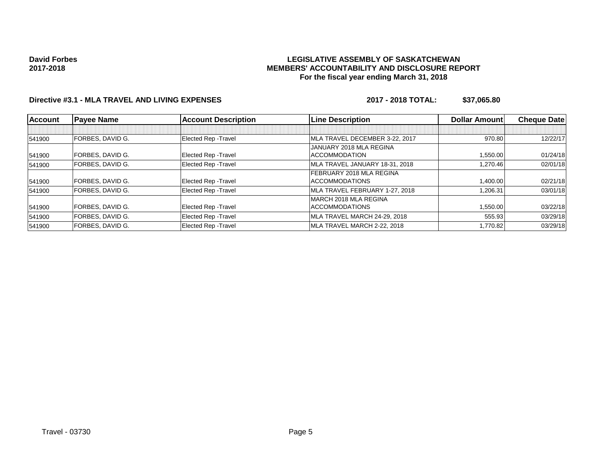### **LEGISLATIVE ASSEMBLY OF SASKATCHEWAN MEMBERS' ACCOUNTABILITY AND DISCLOSURE REPORT For the fiscal year ending March 31, 2018**

## **Directive #3.1 - MLA TRAVEL AND LIVING EXPENSES 2017 - 2018 TOTAL: \$37,065.80**

| <b>Account</b> | <b>Payee Name</b>       | <b>Account Description</b>  | <b>Line Description</b>         | <b>Dollar Amountl</b> | <b>Cheque Date</b> |
|----------------|-------------------------|-----------------------------|---------------------------------|-----------------------|--------------------|
|                |                         |                             |                                 |                       |                    |
| 541900         | FORBES, DAVID G.        | <b>Elected Rep - Travel</b> | MLA TRAVEL DECEMBER 3-22, 2017  | 970.80                | 12/22/17           |
|                |                         |                             | JANUARY 2018 MLA REGINA         |                       |                    |
| 541900         | FORBES, DAVID G.        | <b>Elected Rep - Travel</b> | <b>ACCOMMODATION</b>            | <b>.550.00</b>        | 01/24/18           |
| 541900         | FORBES, DAVID G.        | <b>Elected Rep - Travel</b> | MLA TRAVEL JANUARY 18-31, 2018  | .270.46               | 02/01/18           |
|                |                         |                             | <b>FEBRUARY 2018 MLA REGINA</b> |                       |                    |
| 541900         | FORBES, DAVID G.        | <b>Elected Rep - Travel</b> | <b>ACCOMMODATIONS</b>           | 1,400.00              | 02/21/18           |
| 541900         | FORBES, DAVID G.        | Elected Rep - Travel        | MLA TRAVEL FEBRUARY 1-27, 2018  | 1.206.31              | 03/01/18           |
|                |                         |                             | IMARCH 2018 MLA REGINA          |                       |                    |
| 541900         | FORBES, DAVID G.        | <b>Elected Rep - Travel</b> | <b>ACCOMMODATIONS</b>           | <b>1,550.00</b>       | 03/22/18           |
| 541900         | FORBES, DAVID G.        | Elected Rep - Travel        | MLA TRAVEL MARCH 24-29, 2018    | 555.93                | 03/29/18           |
| 541900         | <b>FORBES, DAVID G.</b> | <b>Elected Rep - Travel</b> | MLA TRAVEL MARCH 2-22, 2018     | 1,770.82              | 03/29/18           |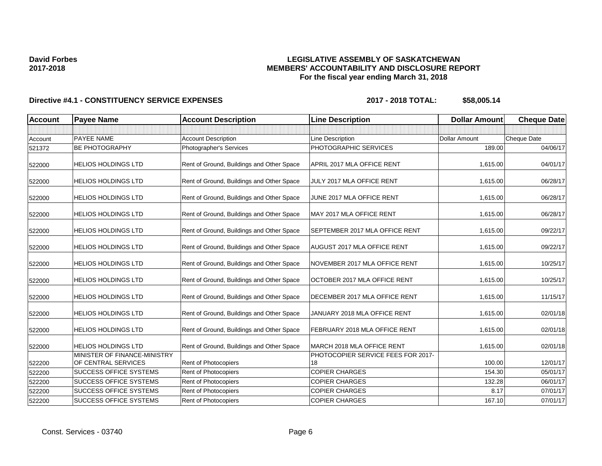## **LEGISLATIVE ASSEMBLY OF SASKATCHEWAN MEMBERS' ACCOUNTABILITY AND DISCLOSURE REPORT For the fiscal year ending March 31, 2018**

| <b>Account</b> | <b>Payee Name</b>                                   | <b>Account Description</b>                | <b>Line Description</b>                  | <b>Dollar Amount</b> | <b>Cheque Date</b> |
|----------------|-----------------------------------------------------|-------------------------------------------|------------------------------------------|----------------------|--------------------|
|                |                                                     |                                           |                                          |                      |                    |
| Account        | PAYEE NAME                                          | <b>Account Description</b>                | Line Description                         | <b>Dollar Amount</b> | Cheque Date        |
| 521372         | <b>BE PHOTOGRAPHY</b>                               | Photographer's Services                   | PHOTOGRAPHIC SERVICES                    | 189.00               | 04/06/17           |
| 522000         | <b>HELIOS HOLDINGS LTD</b>                          | Rent of Ground, Buildings and Other Space | APRIL 2017 MLA OFFICE RENT               | 1,615.00             | 04/01/17           |
| 522000         | HELIOS HOLDINGS LTD                                 | Rent of Ground, Buildings and Other Space | JULY 2017 MLA OFFICE RENT                | 1,615.00             | 06/28/17           |
| 522000         | <b>HELIOS HOLDINGS LTD</b>                          | Rent of Ground, Buildings and Other Space | JUNE 2017 MLA OFFICE RENT                | 1,615.00             | 06/28/17           |
| 522000         | <b>HELIOS HOLDINGS LTD</b>                          | Rent of Ground, Buildings and Other Space | MAY 2017 MLA OFFICE RENT                 | 1,615.00             | 06/28/17           |
| 522000         | <b>HELIOS HOLDINGS LTD</b>                          | Rent of Ground, Buildings and Other Space | SEPTEMBER 2017 MLA OFFICE RENT           | 1,615.00             | 09/22/17           |
| 522000         | <b>HELIOS HOLDINGS LTD</b>                          | Rent of Ground, Buildings and Other Space | <b>AUGUST 2017 MLA OFFICE RENT</b>       | 1,615.00             | 09/22/17           |
| 522000         | <b>HELIOS HOLDINGS LTD</b>                          | Rent of Ground, Buildings and Other Space | NOVEMBER 2017 MLA OFFICE RENT            | 1,615.00             | 10/25/17           |
| 522000         | <b>HELIOS HOLDINGS LTD</b>                          | Rent of Ground, Buildings and Other Space | OCTOBER 2017 MLA OFFICE RENT             | 1,615.00             | 10/25/17           |
| 522000         | <b>HELIOS HOLDINGS LTD</b>                          | Rent of Ground, Buildings and Other Space | DECEMBER 2017 MLA OFFICE RENT            | 1,615.00             | 11/15/17           |
| 522000         | <b>HELIOS HOLDINGS LTD</b>                          | Rent of Ground, Buildings and Other Space | JANUARY 2018 MLA OFFICE RENT             | 1,615.00             | 02/01/18           |
| 522000         | <b>HELIOS HOLDINGS LTD</b>                          | Rent of Ground, Buildings and Other Space | FEBRUARY 2018 MLA OFFICE RENT            | 1,615.00             | 02/01/18           |
| 522000         | <b>HELIOS HOLDINGS LTD</b>                          | Rent of Ground, Buildings and Other Space | MARCH 2018 MLA OFFICE RENT               | 1,615.00             | 02/01/18           |
| 522200         | MINISTER OF FINANCE-MINISTRY<br>OF CENTRAL SERVICES | Rent of Photocopiers                      | PHOTOCOPIER SERVICE FEES FOR 2017-<br>18 | 100.00               | 12/01/17           |
| 522200         | <b>SUCCESS OFFICE SYSTEMS</b>                       | Rent of Photocopiers                      | <b>COPIER CHARGES</b>                    | 154.30               | 05/01/17           |
| 522200         | SUCCESS OFFICE SYSTEMS                              | Rent of Photocopiers                      | <b>COPIER CHARGES</b>                    | 132.28               | 06/01/17           |
| 522200         | <b>SUCCESS OFFICE SYSTEMS</b>                       | <b>Rent of Photocopiers</b>               | <b>COPIER CHARGES</b>                    | 8.17                 | 07/01/17           |
| 522200         | <b>SUCCESS OFFICE SYSTEMS</b>                       | Rent of Photocopiers                      | <b>COPIER CHARGES</b>                    | 167.10               | 07/01/17           |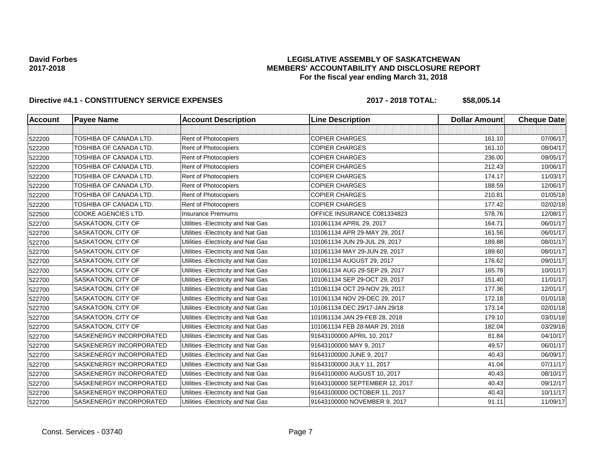## **LEGISLATIVE ASSEMBLY OF SASKATCHEWAN MEMBERS' ACCOUNTABILITY AND DISCLOSURE REPORT For the fiscal year ending March 31, 2018**

| <b>Account</b> | <b>Payee Name</b>             | <b>Account Description</b>          | <b>Line Description</b>        | <b>Dollar Amount</b> | <b>Cheque Date</b> |
|----------------|-------------------------------|-------------------------------------|--------------------------------|----------------------|--------------------|
|                |                               |                                     |                                |                      |                    |
| 522200         | TOSHIBA OF CANADA LTD.        | Rent of Photocopiers                | <b>COPIER CHARGES</b>          | 161.10               | 07/06/17           |
| 522200         | TOSHIBA OF CANADA LTD.        | Rent of Photocopiers                | <b>COPIER CHARGES</b>          | 161.10               | 08/04/17           |
| 522200         | TOSHIBA OF CANADA LTD.        | Rent of Photocopiers                | <b>COPIER CHARGES</b>          | 236.00               | 09/05/17           |
| 522200         | TOSHIBA OF CANADA LTD.        | Rent of Photocopiers                | <b>COPIER CHARGES</b>          | 212.43               | 10/06/17           |
| 522200         | TOSHIBA OF CANADA LTD.        | Rent of Photocopiers                | <b>COPIER CHARGES</b>          | 174.17               | 11/03/17           |
| 522200         | <b>TOSHIBA OF CANADA LTD.</b> | Rent of Photocopiers                | <b>COPIER CHARGES</b>          | 188.59               | 12/06/17           |
| 522200         | TOSHIBA OF CANADA LTD.        | Rent of Photocopiers                | <b>COPIER CHARGES</b>          | 210.81               | 01/05/18           |
| 522200         | <b>TOSHIBA OF CANADA LTD.</b> | Rent of Photocopiers                | <b>COPIER CHARGES</b>          | 177.42               | 02/02/18           |
| 522500         | COOKE AGENCIES LTD.           | <b>Insurance Premiums</b>           | OFFICE INSURANCE C081334823    | 578.76               | 12/08/17           |
| 522700         | SASKATOON, CITY OF            | Utilities - Electricity and Nat Gas | 101061134 APRIL 29, 2017       | 164.71               | 06/01/17           |
| 522700         | SASKATOON, CITY OF            | Utilities - Electricity and Nat Gas | 101061134 APR 29-MAY 29, 2017  | 161.56               | 06/01/17           |
| 522700         | SASKATOON, CITY OF            | Utilities - Electricity and Nat Gas | 101061134 JUN 29-JUL 29, 2017  | 189.88               | 08/01/17           |
| 522700         | SASKATOON, CITY OF            | Utilities - Electricity and Nat Gas | 101061134 MAY 29-JUN 29, 2017  | 189.60               | 08/01/17           |
| 522700         | SASKATOON, CITY OF            | Utilities - Electricity and Nat Gas | 101061134 AUGUST 29, 2017      | 176.62               | 09/01/17           |
| 522700         | SASKATOON, CITY OF            | Utilities - Electricity and Nat Gas | 101061134 AUG 29-SEP 29, 2017  | 165.78               | 10/01/17           |
| 522700         | SASKATOON, CITY OF            | Utilities - Electricity and Nat Gas | 101061134 SEP 29-OCT 29, 2017  | 151.40               | 11/01/17           |
| 522700         | SASKATOON, CITY OF            | Utilities - Electricity and Nat Gas | 101061134 OCT 29-NOV 29, 2017  | 177.36               | 12/01/17           |
| 522700         | SASKATOON, CITY OF            | Utilities - Electricity and Nat Gas | 101061134 NOV 29-DEC 29, 2017  | 172.18               | 01/01/18           |
| 522700         | SASKATOON, CITY OF            | Utilities - Electricity and Nat Gas | 101061134 DEC 29/17-JAN 29/18  | 173.14               | 02/01/18           |
| 522700         | SASKATOON, CITY OF            | Utilities - Electricity and Nat Gas | 101061134 JAN 29-FEB 28, 2018  | 179.10               | 03/01/18           |
| 522700         | SASKATOON, CITY OF            | Utilities - Electricity and Nat Gas | 101061134 FEB 28-MAR 29, 2018  | 182.04               | 03/29/18           |
| 522700         | SASKENERGY INCORPORATED       | Utilities - Electricity and Nat Gas | 91643100000 APRIL 10, 2017     | 81.84                | 04/10/17           |
| 522700         | SASKENERGY INCORPORATED       | Utilities - Electricity and Nat Gas | 91643100000 MAY 9, 2017        | 49.57                | 06/01/17           |
| 522700         | SASKENERGY INCORPORATED       | Utilities - Electricity and Nat Gas | 91643100000 JUNE 9, 2017       | 40.43                | 06/09/17           |
| 522700         | SASKENERGY INCORPORATED       | Utilities - Electricity and Nat Gas | 91643100000 JULY 11, 2017      | 41.04                | 07/11/17           |
| 522700         | SASKENERGY INCORPORATED       | Utilities - Electricity and Nat Gas | 91643100000 AUGUST 10, 2017    | 40.43                | 08/10/17           |
| 522700         | SASKENERGY INCORPORATED       | Utilities - Electricity and Nat Gas | 91643100000 SEPTEMBER 12, 2017 | 40.43                | 09/12/17           |
| 522700         | SASKENERGY INCORPORATED       | Utilities - Electricity and Nat Gas | 91643100000 OCTOBER 11, 2017   | 40.43                | 10/11/17           |
| 522700         | SASKENERGY INCORPORATED       | Utilities - Electricity and Nat Gas | 91643100000 NOVEMBER 9, 2017   | 91.11                | 11/09/17           |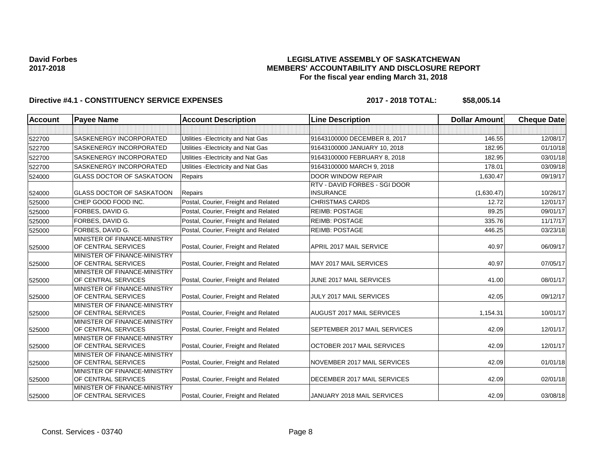## **LEGISLATIVE ASSEMBLY OF SASKATCHEWAN MEMBERS' ACCOUNTABILITY AND DISCLOSURE REPORT For the fiscal year ending March 31, 2018**

| <b>Account</b> | <b>Payee Name</b>                                   | <b>Account Description</b>           | <b>Line Description</b>                           | <b>Dollar Amount</b> | <b>Cheque Date</b> |
|----------------|-----------------------------------------------------|--------------------------------------|---------------------------------------------------|----------------------|--------------------|
|                |                                                     |                                      |                                                   |                      |                    |
| 522700         | SASKENERGY INCORPORATED                             | Utilities - Electricity and Nat Gas  | 91643100000 DECEMBER 8, 2017                      | 146.55               | 12/08/17           |
| 522700         | <b>SASKENERGY INCORPORATED</b>                      | Utilities - Electricity and Nat Gas  | 91643100000 JANUARY 10, 2018                      | 182.95               | 01/10/18           |
| 522700         | <b>SASKENERGY INCORPORATED</b>                      | Utilities - Electricity and Nat Gas  | 91643100000 FEBRUARY 8, 2018                      | 182.95               | 03/01/18           |
| 522700         | SASKENERGY INCORPORATED                             | Utilities - Electricity and Nat Gas  | 91643100000 MARCH 9, 2018                         | 178.01               | 03/09/18           |
| 524000         | <b>GLASS DOCTOR OF SASKATOON</b>                    | Repairs                              | <b>DOOR WINDOW REPAIR</b>                         | 1,630.47             | 09/19/17           |
| 524000         | <b>GLASS DOCTOR OF SASKATOON</b>                    | Repairs                              | RTV - DAVID FORBES - SGI DOOR<br><b>INSURANCE</b> | (1,630.47)           | 10/26/17           |
| 525000         | CHEP GOOD FOOD INC.                                 | Postal, Courier, Freight and Related | <b>CHRISTMAS CARDS</b>                            | 12.72                | 12/01/17           |
| 525000         | FORBES, DAVID G.                                    | Postal, Courier, Freight and Related | <b>REIMB: POSTAGE</b>                             | 89.25                | 09/01/17           |
| 525000         | FORBES, DAVID G.                                    | Postal, Courier, Freight and Related | <b>REIMB: POSTAGE</b>                             | 335.76               | 11/17/17           |
| 525000         | FORBES, DAVID G.                                    | Postal, Courier, Freight and Related | <b>REIMB: POSTAGE</b>                             | 446.25               | 03/23/18           |
| 525000         | MINISTER OF FINANCE-MINISTRY<br>OF CENTRAL SERVICES | Postal, Courier, Freight and Related | APRIL 2017 MAIL SERVICE                           | 40.97                | 06/09/17           |
| 525000         | MINISTER OF FINANCE-MINISTRY<br>OF CENTRAL SERVICES | Postal, Courier, Freight and Related | MAY 2017 MAIL SERVICES                            | 40.97                | 07/05/17           |
| 525000         | MINISTER OF FINANCE-MINISTRY<br>OF CENTRAL SERVICES | Postal, Courier, Freight and Related | JUNE 2017 MAIL SERVICES                           | 41.00                | 08/01/17           |
| 525000         | MINISTER OF FINANCE-MINISTRY<br>OF CENTRAL SERVICES | Postal, Courier, Freight and Related | JULY 2017 MAIL SERVICES                           | 42.05                | 09/12/17           |
| 525000         | MINISTER OF FINANCE-MINISTRY<br>OF CENTRAL SERVICES | Postal, Courier, Freight and Related | AUGUST 2017 MAIL SERVICES                         | 1,154.31             | 10/01/17           |
| 525000         | MINISTER OF FINANCE-MINISTRY<br>OF CENTRAL SERVICES | Postal, Courier, Freight and Related | SEPTEMBER 2017 MAIL SERVICES                      | 42.09                | 12/01/17           |
| 525000         | MINISTER OF FINANCE-MINISTRY<br>OF CENTRAL SERVICES | Postal, Courier, Freight and Related | OCTOBER 2017 MAIL SERVICES                        | 42.09                | 12/01/17           |
| 525000         | MINISTER OF FINANCE-MINISTRY<br>OF CENTRAL SERVICES | Postal, Courier, Freight and Related | NOVEMBER 2017 MAIL SERVICES                       | 42.09                | 01/01/18           |
| 525000         | MINISTER OF FINANCE-MINISTRY<br>OF CENTRAL SERVICES | Postal, Courier, Freight and Related | DECEMBER 2017 MAIL SERVICES                       | 42.09                | 02/01/18           |
| 525000         | MINISTER OF FINANCE-MINISTRY<br>OF CENTRAL SERVICES | Postal, Courier, Freight and Related | JANUARY 2018 MAIL SERVICES                        | 42.09                | 03/08/18           |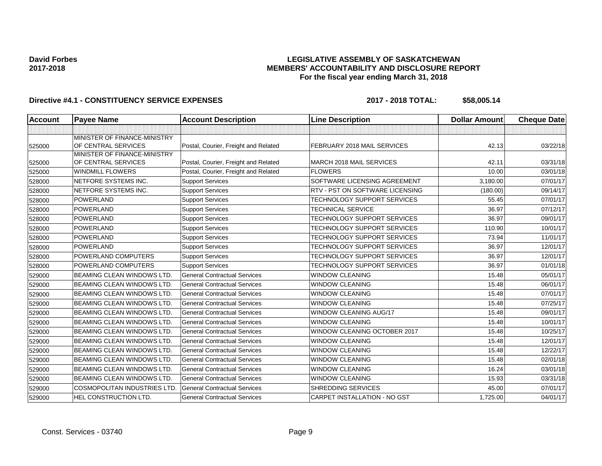## **LEGISLATIVE ASSEMBLY OF SASKATCHEWAN MEMBERS' ACCOUNTABILITY AND DISCLOSURE REPORT For the fiscal year ending March 31, 2018**

| <b>Account</b> | <b>Payee Name</b>                                   | <b>Account Description</b>           | <b>Line Description</b>            | <b>Dollar Amount</b> | <b>Cheque Date</b> |
|----------------|-----------------------------------------------------|--------------------------------------|------------------------------------|----------------------|--------------------|
|                |                                                     |                                      |                                    |                      |                    |
| 525000         | MINISTER OF FINANCE-MINISTRY<br>OF CENTRAL SERVICES | Postal, Courier, Freight and Related | FEBRUARY 2018 MAIL SERVICES        | 42.13                | 03/22/18           |
|                | MINISTER OF FINANCE-MINISTRY                        |                                      |                                    |                      |                    |
| 525000         | OF CENTRAL SERVICES                                 | Postal, Courier, Freight and Related | MARCH 2018 MAIL SERVICES           | 42.11                | 03/31/18           |
| 525000         | <b>WINDMILL FLOWERS</b>                             | Postal, Courier, Freight and Related | <b>FLOWERS</b>                     | 10.00                | 03/01/18           |
| 528000         | NETFORE SYSTEMS INC.                                | <b>Support Services</b>              | SOFTWARE LICENSING AGREEMENT       | 3,180.00             | 07/01/17           |
| 528000         | NETFORE SYSTEMS INC.                                | <b>Support Services</b>              | RTV - PST ON SOFTWARE LICENSING    | (180.00)             | 09/14/17           |
| 528000         | <b>POWERLAND</b>                                    | <b>Support Services</b>              | TECHNOLOGY SUPPORT SERVICES        | 55.45                | 07/01/17           |
| 528000         | <b>POWERLAND</b>                                    | <b>Support Services</b>              | <b>TECHNICAL SERVICE</b>           | 36.97                | 07/12/17           |
| 528000         | <b>POWERLAND</b>                                    | <b>Support Services</b>              | <b>TECHNOLOGY SUPPORT SERVICES</b> | 36.97                | 09/01/17           |
| 528000         | <b>POWERLAND</b>                                    | <b>Support Services</b>              | TECHNOLOGY SUPPORT SERVICES        | 110.90               | 10/01/17           |
| 528000         | POWERLAND                                           | <b>Support Services</b>              | TECHNOLOGY SUPPORT SERVICES        | 73.94                | 11/01/17           |
| 528000         | <b>POWERLAND</b>                                    | <b>Support Services</b>              | TECHNOLOGY SUPPORT SERVICES        | 36.97                | 12/01/17           |
| 528000         | POWERLAND COMPUTERS                                 | <b>Support Services</b>              | TECHNOLOGY SUPPORT SERVICES        | 36.97                | 12/01/17           |
| 528000         | POWERLAND COMPUTERS                                 | <b>Support Services</b>              | TECHNOLOGY SUPPORT SERVICES        | 36.97                | 01/01/18           |
| 529000         | <b>BEAMING CLEAN WINDOWS LTD.</b>                   | <b>General Contractual Services</b>  | <b>WINDOW CLEANING</b>             | 15.48                | 05/01/17           |
| 529000         | <b>BEAMING CLEAN WINDOWS LTD.</b>                   | <b>General Contractual Services</b>  | WINDOW CLEANING                    | 15.48                | 06/01/17           |
| 529000         | <b>BEAMING CLEAN WINDOWS LTD.</b>                   | <b>General Contractual Services</b>  | WINDOW CLEANING                    | 15.48                | 07/01/17           |
| 529000         | <b>BEAMING CLEAN WINDOWS LTD.</b>                   | <b>General Contractual Services</b>  | <b>WINDOW CLEANING</b>             | 15.48                | 07/25/17           |
| 529000         | <b>BEAMING CLEAN WINDOWS LTD.</b>                   | <b>General Contractual Services</b>  | <b>WINDOW CLEANING AUG/17</b>      | 15.48                | 09/01/17           |
| 529000         | <b>BEAMING CLEAN WINDOWS LTD.</b>                   | <b>General Contractual Services</b>  | <b>WINDOW CLEANING</b>             | 15.48                | 10/01/17           |
| 529000         | <b>BEAMING CLEAN WINDOWS LTD.</b>                   | <b>General Contractual Services</b>  | WINDOW CLEANING OCTOBER 2017       | 15.48                | 10/25/17           |
| 529000         | <b>BEAMING CLEAN WINDOWS LTD.</b>                   | <b>General Contractual Services</b>  | <b>WINDOW CLEANING</b>             | 15.48                | 12/01/17           |
| 529000         | <b>BEAMING CLEAN WINDOWS LTD.</b>                   | <b>General Contractual Services</b>  | <b>WINDOW CLEANING</b>             | 15.48                | 12/22/17           |
| 529000         | BEAMING CLEAN WINDOWS LTD.                          | <b>General Contractual Services</b>  | <b>WINDOW CLEANING</b>             | 15.48                | 02/01/18           |
| 529000         | <b>BEAMING CLEAN WINDOWS LTD.</b>                   | <b>General Contractual Services</b>  | <b>WINDOW CLEANING</b>             | 16.24                | 03/01/18           |
| 529000         | <b>BEAMING CLEAN WINDOWS LTD.</b>                   | <b>General Contractual Services</b>  | <b>WINDOW CLEANING</b>             | 15.93                | 03/31/18           |
| 529000         | <b>COSMOPOLITAN INDUSTRIES LTD.</b>                 | <b>General Contractual Services</b>  | SHREDDING SERVICES                 | 45.00                | 07/01/17           |
| 529000         | HEL CONSTRUCTION LTD.                               | <b>General Contractual Services</b>  | CARPET INSTALLATION - NO GST       | 1,725.00             | 04/01/17           |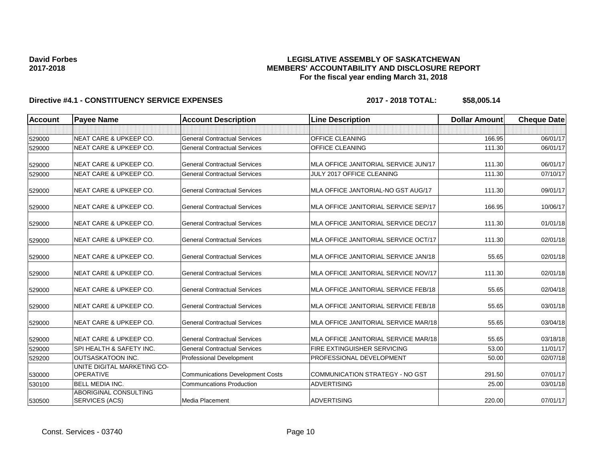## **LEGISLATIVE ASSEMBLY OF SASKATCHEWAN MEMBERS' ACCOUNTABILITY AND DISCLOSURE REPORT For the fiscal year ending March 31, 2018**

| <b>Account</b> | <b>Payee Name</b>                               | <b>Account Description</b>              | <b>Line Description</b>              | <b>Dollar Amount</b> | <b>Cheque Date</b> |
|----------------|-------------------------------------------------|-----------------------------------------|--------------------------------------|----------------------|--------------------|
|                |                                                 |                                         |                                      |                      |                    |
| 529000         | NEAT CARE & UPKEEP CO.                          | <b>General Contractual Services</b>     | OFFICE CLEANING                      | 166.95               | 06/01/17           |
| 529000         | <b>NEAT CARE &amp; UPKEEP CO.</b>               | <b>General Contractual Services</b>     | OFFICE CLEANING                      | 111.30               | 06/01/17           |
| 529000         | <b>NEAT CARE &amp; UPKEEP CO.</b>               | <b>General Contractual Services</b>     | MLA OFFICE JANITORIAL SERVICE JUN/17 | 111.30               | 06/01/17           |
| 529000         | <b>NEAT CARE &amp; UPKEEP CO.</b>               | <b>General Contractual Services</b>     | JULY 2017 OFFICE CLEANING            | 111.30               | 07/10/17           |
| 529000         | <b>NEAT CARE &amp; UPKEEP CO.</b>               | <b>General Contractual Services</b>     | MLA OFFICE JANTORIAL-NO GST AUG/17   | 111.30               | 09/01/17           |
| 529000         | <b>NEAT CARE &amp; UPKEEP CO.</b>               | <b>General Contractual Services</b>     | MLA OFFICE JANITORIAL SERVICE SEP/17 | 166.95               | 10/06/17           |
| 529000         | <b>NEAT CARE &amp; UPKEEP CO.</b>               | <b>General Contractual Services</b>     | MLA OFFICE JANITORIAL SERVICE DEC/17 | 111.30               | 01/01/18           |
| 529000         | <b>NEAT CARE &amp; UPKEEP CO.</b>               | <b>General Contractual Services</b>     | MLA OFFICE JANITORIAL SERVICE OCT/17 | 111.30               | 02/01/18           |
| 529000         | <b>NEAT CARE &amp; UPKEEP CO.</b>               | <b>General Contractual Services</b>     | MLA OFFICE JANITORIAL SERVICE JAN/18 | 55.65                | 02/01/18           |
| 529000         | <b>NEAT CARE &amp; UPKEEP CO.</b>               | <b>General Contractual Services</b>     | MLA OFFICE JANITORIAL SERVICE NOV/17 | 111.30               | 02/01/18           |
| 529000         | <b>NEAT CARE &amp; UPKEEP CO.</b>               | <b>General Contractual Services</b>     | MLA OFFICE JANITORIAL SERVICE FEB/18 | 55.65                | 02/04/18           |
| 529000         | <b>NEAT CARE &amp; UPKEEP CO.</b>               | <b>General Contractual Services</b>     | MLA OFFICE JANITORIAL SERVICE FEB/18 | 55.65                | 03/01/18           |
| 529000         | <b>NEAT CARE &amp; UPKEEP CO.</b>               | <b>General Contractual Services</b>     | MLA OFFICE JANITORIAL SERVICE MAR/18 | 55.65                | 03/04/18           |
| 529000         | <b>NEAT CARE &amp; UPKEEP CO.</b>               | <b>General Contractual Services</b>     | MLA OFFICE JANITORIAL SERVICE MAR/18 | 55.65                | 03/18/18           |
| 529000         | SPI HEALTH & SAFETY INC.                        | <b>General Contractual Services</b>     | FIRE EXTINGUISHER SERVICING          | 53.00                | 11/01/17           |
| 529200         | OUTSASKATOON INC.                               | <b>Professional Development</b>         | PROFESSIONAL DEVELOPMENT             | 50.00                | 02/07/18           |
| 530000         | UNITE DIGITAL MARKETING CO-<br><b>OPERATIVE</b> | <b>Communications Development Costs</b> | COMMUNICATION STRATEGY - NO GST      | 291.50               | 07/01/17           |
| 530100         | BELL MEDIA INC.                                 | <b>Communcations Production</b>         | <b>ADVERTISING</b>                   | 25.00                | 03/01/18           |
| 530500         | <b>ABORIGINAL CONSULTING</b><br>SERVICES (ACS)  | Media Placement                         | <b>ADVERTISING</b>                   | 220.00               | 07/01/17           |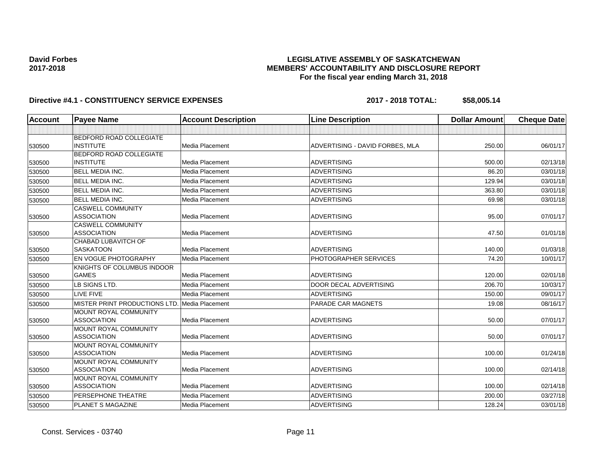## **LEGISLATIVE ASSEMBLY OF SASKATCHEWAN MEMBERS' ACCOUNTABILITY AND DISCLOSURE REPORT For the fiscal year ending March 31, 2018**

| <b>Account</b> | <b>Payee Name</b>                                  | <b>Account Description</b> | <b>Line Description</b>         | <b>Dollar Amount</b> | <b>Cheque Date</b> |
|----------------|----------------------------------------------------|----------------------------|---------------------------------|----------------------|--------------------|
|                |                                                    |                            |                                 |                      |                    |
| 530500         | <b>BEDFORD ROAD COLLEGIATE</b><br><b>INSTITUTE</b> | Media Placement            | ADVERTISING - DAVID FORBES, MLA | 250.00               | 06/01/17           |
| 530500         | BEDFORD ROAD COLLEGIATE<br><b>INSTITUTE</b>        | Media Placement            | <b>ADVERTISING</b>              | 500.00               | 02/13/18           |
| 530500         | <b>BELL MEDIA INC.</b>                             | Media Placement            | <b>ADVERTISING</b>              | 86.20                | 03/01/18           |
| 530500         | <b>BELL MEDIA INC.</b>                             | Media Placement            | <b>ADVERTISING</b>              | 129.94               | 03/01/18           |
| 530500         | <b>BELL MEDIA INC.</b>                             | Media Placement            | <b>ADVERTISING</b>              | 363.80               | 03/01/18           |
| 530500         | <b>BELL MEDIA INC.</b>                             | Media Placement            | <b>ADVERTISING</b>              | 69.98                | 03/01/18           |
| 530500         | <b>CASWELL COMMUNITY</b><br><b>ASSOCIATION</b>     | Media Placement            | <b>ADVERTISING</b>              | 95.00                | 07/01/17           |
| 530500         | <b>CASWELL COMMUNITY</b><br><b>ASSOCIATION</b>     | Media Placement            | <b>ADVERTISING</b>              | 47.50                | 01/01/18           |
| 530500         | CHABAD LUBAVITCH OF<br><b>SASKATOON</b>            | Media Placement            | <b>ADVERTISING</b>              | 140.00               | 01/03/18           |
| 530500         | EN VOGUE PHOTOGRAPHY                               | Media Placement            | PHOTOGRAPHER SERVICES           | 74.20                | 10/01/17           |
| 530500         | KNIGHTS OF COLUMBUS INDOOR<br><b>GAMES</b>         | Media Placement            | <b>ADVERTISING</b>              | 120.00               | 02/01/18           |
| 530500         | LB SIGNS LTD.                                      | Media Placement            | <b>DOOR DECAL ADVERTISING</b>   | 206.70               | 10/03/17           |
| 530500         | LIVE FIVE                                          | <b>Media Placement</b>     | <b>ADVERTISING</b>              | 150.00               | 09/01/17           |
| 530500         | MISTER PRINT PRODUCTIONS LTD.                      | Media Placement            | PARADE CAR MAGNETS              | 19.08                | 08/16/17           |
| 530500         | MOUNT ROYAL COMMUNITY<br><b>ASSOCIATION</b>        | Media Placement            | <b>ADVERTISING</b>              | 50.00                | 07/01/17           |
| 530500         | MOUNT ROYAL COMMUNITY<br><b>ASSOCIATION</b>        | Media Placement            | <b>ADVERTISING</b>              | 50.00                | 07/01/17           |
| 530500         | MOUNT ROYAL COMMUNITY<br><b>ASSOCIATION</b>        | Media Placement            | <b>ADVERTISING</b>              | 100.00               | 01/24/18           |
| 530500         | <b>MOUNT ROYAL COMMUNITY</b><br><b>ASSOCIATION</b> | Media Placement            | <b>ADVERTISING</b>              | 100.00               | 02/14/18           |
| 530500         | <b>MOUNT ROYAL COMMUNITY</b><br><b>ASSOCIATION</b> | Media Placement            | <b>ADVERTISING</b>              | 100.00               | 02/14/18           |
| 530500         | PERSEPHONE THEATRE                                 | Media Placement            | <b>ADVERTISING</b>              | 200.00               | 03/27/18           |
| 530500         | PLANET S MAGAZINE                                  | Media Placement            | <b>ADVERTISING</b>              | 128.24               | 03/01/18           |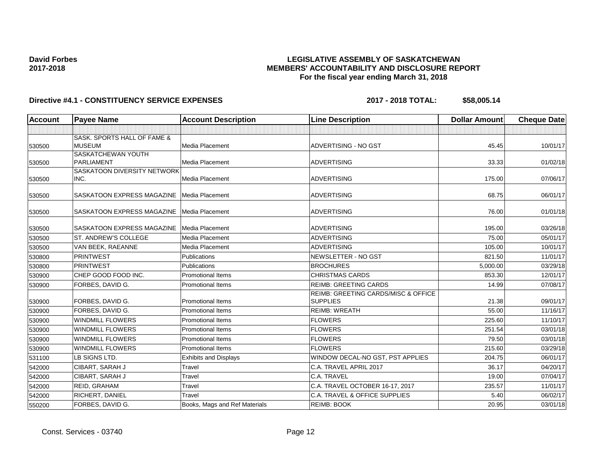## **LEGISLATIVE ASSEMBLY OF SASKATCHEWAN MEMBERS' ACCOUNTABILITY AND DISCLOSURE REPORT For the fiscal year ending March 31, 2018**

| Account | <b>Payee Name</b>                            | <b>Account Description</b>    | <b>Line Description</b>                                | <b>Dollar Amount</b> | <b>Cheque Date</b> |
|---------|----------------------------------------------|-------------------------------|--------------------------------------------------------|----------------------|--------------------|
|         |                                              |                               |                                                        |                      |                    |
| 530500  | SASK. SPORTS HALL OF FAME &<br><b>MUSEUM</b> | Media Placement               | ADVERTISING - NO GST                                   | 45.45                | 10/01/17           |
|         | <b>SASKATCHEWAN YOUTH</b>                    |                               |                                                        |                      |                    |
| 530500  | PARLIAMENT                                   | Media Placement               | <b>ADVERTISING</b>                                     | 33.33                | 01/02/18           |
|         | <b>SASKATOON DIVERSITY NETWORK</b>           |                               |                                                        |                      |                    |
| 530500  | INC.                                         | Media Placement               | <b>ADVERTISING</b>                                     | 175.00               | 07/06/17           |
| 530500  | SASKATOON EXPRESS MAGAZINE                   | Media Placement               | <b>ADVERTISING</b>                                     | 68.75                | 06/01/17           |
| 530500  | SASKATOON EXPRESS MAGAZINE                   | Media Placement               | <b>ADVERTISING</b>                                     | 76.00                | 01/01/18           |
| 530500  | SASKATOON EXPRESS MAGAZINE                   | Media Placement               | <b>ADVERTISING</b>                                     | 195.00               | 03/26/18           |
| 530500  | ST. ANDREW'S COLLEGE                         | Media Placement               | <b>ADVERTISING</b>                                     | 75.00                | 05/01/17           |
| 530500  | VAN BEEK, RAEANNE                            | <b>Media Placement</b>        | <b>ADVERTISING</b>                                     | 105.00               | 10/01/17           |
| 530800  | <b>PRINTWEST</b>                             | Publications                  | NEWSLETTER - NO GST                                    | 821.50               | 11/01/17           |
| 530800  | PRINTWEST                                    | Publications                  | <b>BROCHURES</b>                                       | 5,000.00             | 03/29/18           |
| 530900  | CHEP GOOD FOOD INC.                          | <b>Promotional Items</b>      | <b>CHRISTMAS CARDS</b>                                 | 853.30               | 12/01/17           |
| 530900  | FORBES, DAVID G.                             | <b>Promotional Items</b>      | <b>REIMB: GREETING CARDS</b>                           | 14.99                | 07/08/17           |
| 530900  | FORBES, DAVID G.                             | <b>Promotional Items</b>      | REIMB: GREETING CARDS/MISC & OFFICE<br><b>SUPPLIES</b> | 21.38                | 09/01/17           |
| 530900  | FORBES, DAVID G.                             | <b>Promotional Items</b>      | <b>REIMB: WREATH</b>                                   | 55.00                | 11/16/17           |
| 530900  | <b>WINDMILL FLOWERS</b>                      | Promotional Items             | <b>FLOWERS</b>                                         | 225.60               | 11/10/17           |
| 530900  | <b>WINDMILL FLOWERS</b>                      | <b>Promotional Items</b>      | <b>FLOWERS</b>                                         | 251.54               | 03/01/18           |
| 530900  | <b>WINDMILL FLOWERS</b>                      | <b>Promotional Items</b>      | <b>FLOWERS</b>                                         | 79.50                | 03/01/18           |
| 530900  | <b>WINDMILL FLOWERS</b>                      | <b>Promotional Items</b>      | <b>FLOWERS</b>                                         | 215.60               | 03/29/18           |
| 531100  | LB SIGNS LTD.                                | <b>Exhibits and Displays</b>  | WINDOW DECAL-NO GST, PST APPLIES                       | 204.75               | 06/01/17           |
| 542000  | CIBART, SARAH J                              | Travel                        | C.A. TRAVEL APRIL 2017                                 | 36.17                | 04/20/17           |
| 542000  | CIBART, SARAH J                              | Travel                        | C.A. TRAVEL                                            | 19.00                | 07/04/17           |
| 542000  | REID, GRAHAM                                 | Travel                        | C.A. TRAVEL OCTOBER 16-17, 2017                        | 235.57               | 11/01/17           |
| 542000  | RICHERT, DANIEL                              | Travel                        | C.A. TRAVEL & OFFICE SUPPLIES                          | 5.40                 | 06/02/17           |
| 550200  | FORBES, DAVID G.                             | Books, Mags and Ref Materials | <b>REIMB: BOOK</b>                                     | 20.95                | 03/01/18           |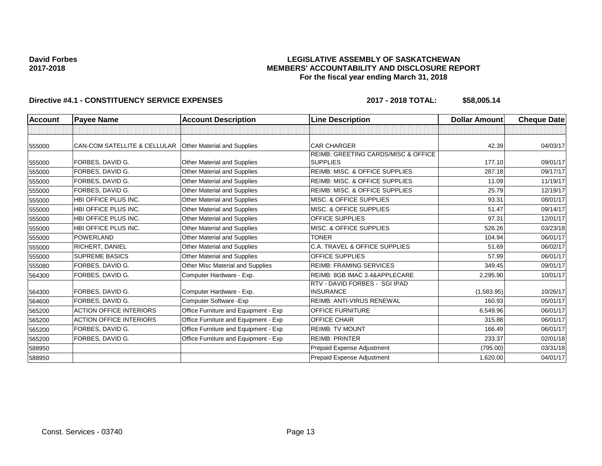## **LEGISLATIVE ASSEMBLY OF SASKATCHEWAN MEMBERS' ACCOUNTABILITY AND DISCLOSURE REPORT For the fiscal year ending March 31, 2018**

| <b>Account</b> | <b>Payee Name</b>                       | <b>Account Description</b>           | <b>Line Description</b>                                           | <b>Dollar Amount</b> | <b>Cheque Date</b> |
|----------------|-----------------------------------------|--------------------------------------|-------------------------------------------------------------------|----------------------|--------------------|
|                |                                         |                                      |                                                                   |                      |                    |
| 555000         | <b>CAN-COM SATELLITE &amp; CELLULAR</b> | <b>Other Material and Supplies</b>   | <b>CAR CHARGER</b>                                                | 42.39                | 04/03/17           |
| 555000         | FORBES, DAVID G.                        | Other Material and Supplies          | <b>REIMB: GREETING CARDS/MISC &amp; OFFICE</b><br><b>SUPPLIES</b> | 177.10               | 09/01/17           |
| 555000         | FORBES, DAVID G.                        | Other Material and Supplies          | <b>REIMB: MISC. &amp; OFFICE SUPPLIES</b>                         | 287.18               | 09/17/17           |
| 555000         | FORBES, DAVID G.                        | Other Material and Supplies          | <b>REIMB: MISC. &amp; OFFICE SUPPLIES</b>                         | 11.09                | 11/19/17           |
| 555000         | FORBES, DAVID G.                        | Other Material and Supplies          | <b>REIMB: MISC. &amp; OFFICE SUPPLIES</b>                         | 25.79                | 12/19/17           |
| 555000         | HBI OFFICE PLUS INC.                    | Other Material and Supplies          | MISC. & OFFICE SUPPLIES                                           | 93.31                | 08/01/17           |
| 555000         | HBI OFFICE PLUS INC.                    | Other Material and Supplies          | MISC. & OFFICE SUPPLIES                                           | 51.47                | 09/14/17           |
| 555000         | HBI OFFICE PLUS INC.                    | Other Material and Supplies          | <b>OFFICE SUPPLIES</b>                                            | 97.31                | 12/01/17           |
| 555000         | HBI OFFICE PLUS INC.                    | Other Material and Supplies          | MISC. & OFFICE SUPPLIES                                           | 526.26               | 03/23/18           |
| 555000         | <b>POWERLAND</b>                        | Other Material and Supplies          | <b>TONER</b>                                                      | 104.94               | 06/01/17           |
| 555000         | <b>RICHERT, DANIEL</b>                  | Other Material and Supplies          | C.A. TRAVEL & OFFICE SUPPLIES                                     | 51.69                | 06/02/17           |
| 555000         | <b>SUPREME BASICS</b>                   | Other Material and Supplies          | <b>OFFICE SUPPLIES</b>                                            | 57.99                | 06/01/17           |
| 555080         | FORBES, DAVID G.                        | Other Misc Material and Supplies     | <b>REIMB: FRAMING SERVICES</b>                                    | 349.45               | 09/01/17           |
| 564300         | FORBES, DAVID G.                        | Computer Hardware - Exp.             | REIMB: 8GB IMAC 3.4&APPLECARE                                     | 2,295.90             | 10/01/17           |
| 564300         | FORBES, DAVID G.                        | Computer Hardware - Exp.             | RTV - DAVID FORBES - SGI IPAD<br><b>INSURANCE</b>                 | (1,583.95)           | 10/26/17           |
| 564600         | FORBES, DAVID G.                        | Computer Software - Exp              | <b>REIMB: ANTI-VIRUS RENEWAL</b>                                  | 160.93               | 05/01/17           |
| 565200         | <b>ACTION OFFICE INTERIORS</b>          | Office Furniture and Equipment - Exp | <b>OFFICE FURNITURE</b>                                           | 6,549.96             | 06/01/17           |
| 565200         | <b>ACTION OFFICE INTERIORS</b>          | Office Furniture and Equipment - Exp | OFFICE CHAIR                                                      | 315.88               | 06/01/17           |
| 565200         | FORBES, DAVID G.                        | Office Furniture and Equipment - Exp | <b>REIMB: TV MOUNT</b>                                            | 166.49               | 06/01/17           |
| 565200         | FORBES, DAVID G.                        | Office Furniture and Equipment - Exp | <b>REIMB: PRINTER</b>                                             | 233.37               | 02/01/18           |
| 588950         |                                         |                                      | Prepaid Expense Adjustment                                        | (795.00)             | 03/31/18           |
| 588950         |                                         |                                      | Prepaid Expense Adjustment                                        | 1,620.00             | 04/01/17           |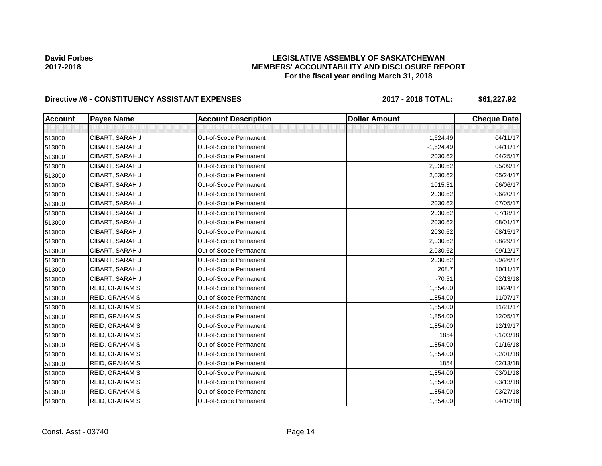## **LEGISLATIVE ASSEMBLY OF SASKATCHEWAN MEMBERS' ACCOUNTABILITY AND DISCLOSURE REPORT For the fiscal year ending March 31, 2018**

# Directive #6 - CONSTITUENCY ASSISTANT EXPENSES 2017 - 2018 TOTAL: \$61,227.92

| <b>Account</b> | <b>Payee Name</b>     | <b>Account Description</b> | <b>Dollar Amount</b> | <b>Cheque Date</b> |
|----------------|-----------------------|----------------------------|----------------------|--------------------|
|                |                       |                            |                      |                    |
| 513000         | CIBART, SARAH J       | Out-of-Scope Permanent     | 1,624.49             | 04/11/17           |
| 513000         | CIBART, SARAH J       | Out-of-Scope Permanent     | $-1,624.49$          | 04/11/17           |
| 513000         | CIBART, SARAH J       | Out-of-Scope Permanent     | 2030.62              | 04/25/17           |
| 513000         | CIBART, SARAH J       | Out-of-Scope Permanent     | 2,030.62             | 05/09/17           |
| 513000         | CIBART, SARAH J       | Out-of-Scope Permanent     | 2,030.62             | 05/24/17           |
| 513000         | CIBART, SARAH J       | Out-of-Scope Permanent     | 1015.31              | 06/06/17           |
| 513000         | CIBART, SARAH J       | Out-of-Scope Permanent     | 2030.62              | 06/20/17           |
| 513000         | CIBART, SARAH J       | Out-of-Scope Permanent     | 2030.62              | 07/05/17           |
| 513000         | CIBART, SARAH J       | Out-of-Scope Permanent     | 2030.62              | 07/18/17           |
| 513000         | CIBART, SARAH J       | Out-of-Scope Permanent     | 2030.62              | 08/01/17           |
| 513000         | CIBART, SARAH J       | Out-of-Scope Permanent     | 2030.62              | 08/15/17           |
| 513000         | CIBART, SARAH J       | Out-of-Scope Permanent     | 2,030.62             | 08/29/17           |
| 513000         | CIBART, SARAH J       | Out-of-Scope Permanent     | 2,030.62             | 09/12/17           |
| 513000         | CIBART, SARAH J       | Out-of-Scope Permanent     | 2030.62              | 09/26/17           |
| 513000         | CIBART, SARAH J       | Out-of-Scope Permanent     | 208.7                | 10/11/17           |
| 513000         | CIBART, SARAH J       | Out-of-Scope Permanent     | $-70.51$             | 02/13/18           |
| 513000         | <b>REID, GRAHAM S</b> | Out-of-Scope Permanent     | 1,854.00             | 10/24/17           |
| 513000         | REID, GRAHAM S        | Out-of-Scope Permanent     | 1,854.00             | 11/07/17           |
| 513000         | REID, GRAHAM S        | Out-of-Scope Permanent     | 1,854.00             | 11/21/17           |
| 513000         | <b>REID, GRAHAM S</b> | Out-of-Scope Permanent     | 1,854.00             | 12/05/17           |
| 513000         | <b>REID, GRAHAM S</b> | Out-of-Scope Permanent     | 1,854.00             | 12/19/17           |
| 513000         | <b>REID, GRAHAM S</b> | Out-of-Scope Permanent     | 1854                 | 01/03/18           |
| 513000         | <b>REID, GRAHAM S</b> | Out-of-Scope Permanent     | 1,854.00             | 01/16/18           |
| 513000         | REID, GRAHAM S        | Out-of-Scope Permanent     | 1,854.00             | 02/01/18           |
| 513000         | REID, GRAHAM S        | Out-of-Scope Permanent     | 1854                 | 02/13/18           |
| 513000         | REID, GRAHAM S        | Out-of-Scope Permanent     | 1,854.00             | 03/01/18           |
| 513000         | REID, GRAHAM S        | Out-of-Scope Permanent     | 1,854.00             | 03/13/18           |
| 513000         | REID, GRAHAM S        | Out-of-Scope Permanent     | 1,854.00             | 03/27/18           |
| 513000         | <b>REID, GRAHAM S</b> | Out-of-Scope Permanent     | 1,854.00             | 04/10/18           |